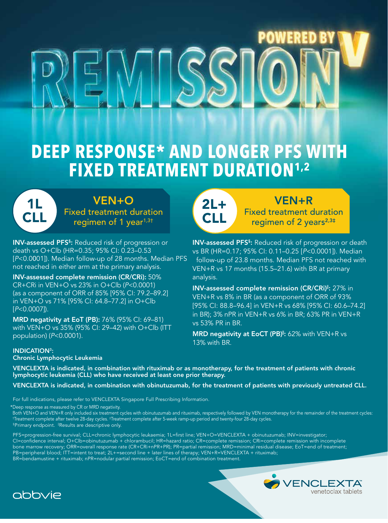# **DEEP RESPONSE\* AND LONGER PFS WITH FIXED TREATMENT DURATION1,2**

1L CLL VEN+O Fixed treatment duration regimen of 1 year<sup>1,3†</sup>

INV-assessed PFS<sup>§</sup>: Reduced risk of progression or death vs O+Clb (HR=0.35; 95% CI: 0.23–0.53 not reached in either arm at the primary analysis.

INV-assessed complete remission (CR/CRi): 50% CR+CRi in VEN+O vs 23% in O+Clb (*P*<0.0001) (as a component of ORR of 85% [95% CI: 79.2–89.2] in VEN+O vs 71% [95% CI: 64.8–77.2] in O+Clb [*P*<0.0007]).

MRD negativity at EoT (PB): 76% (95% CI: 69–81) with VEN+O vs 35% (95% CI: 29–42) with O+Clb (ITT population) (*P*<0.0001).

## INDICATION3:

Chronic Lymphocytic Leukemia

2L+ CLL

## VEN+R

Fixed treatment duration regimen of  $2$  years<sup>2,3‡</sup>

VEN+R vs 17 months (15.5–21.6) with BR at primary analysis. INV-assessed PFS<sup>§</sup>: Reduced risk of progression or death vs BR (HR=0.17; 95% CI: 0.11–0.25 [*P*<0.0001]). Median [P<0.0001]). Median follow-up of 28 months. Median PFS follow-up of 23.8 months. Median PFS not reached with

> INV-assessed complete remission (CR/CRi)<sup>I</sup>: 27% in VEN+R vs 8% in BR (as a component of ORR of 93% [95% CI: 88.8–96.4] in VEN+R vs 68% [95% CI: 60.6–74.2] in BR); 3% nPR in VEN+R vs 6% in BR; 63% PR in VEN+R vs 53% PR in BR.

MRD negativity at EoCT (PB)<sup>||</sup>: 62% with VEN+R vs 13% with BR.

VENCLEXTA is indicated, in combination with rituximab or as monotherapy, for the treatment of patients with chronic lymphocytic leukemia (CLL) who have received at least one prior therapy.

VENCLEXTA is indicated, in combination with obinutuzumab, for the treatment of patients with previously untreated CLL.

For full indications, please refer to VENCLEXTA Singapore Full Prescribing Information.

\* Deep response as measured by CR or MRD negativity.

Both VEN+O and VEN+R only included six treatment cycles with obinutuzumab and rituximab, respectively followed by VEN monotherapy for the remainder of the treatment cycles: †Treatment complete after twelve 28-day cycles. ‡Treatment complete after 5-week ramp-up period and twenty-four 28-day cycles.

**§Primary endpoint.** IResults are descriptive only.

PFS=progression-free survival; CLL=chronic lymphocytic leukaemia; 1L=first line; VEN+O=VENCLEXTA + obinutuzumab; INV=investigator; CI=confidence interval; O+Clb=obinutuzumab + chlorambucil; HR=hazard ratio; CR=complete remission; CRi=complete remission with incomplete bone marrow recovery; ORR=overall response rate (CR+CRi+nPR+PR); PR=partial remission; MRD=minimal residual disease; EoT=end of treatment; PB=peripheral blood; ITT=intent to treat; 2L+=second line + later lines of therapy; VEN+R=VENCLEXTA + rituximab; BR=bendamustine + rituximab; nPR=nodular partial remission; EoCT=end of combination treatment.



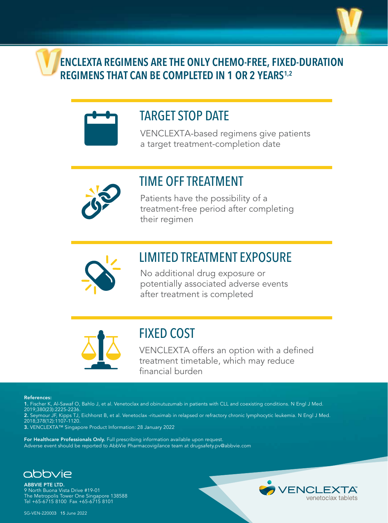

**ENCLEXTA REGIMENS ARE THE ONLY CHEMO-FREE, FIXED-DURATION REGIMENS THAT CAN BE COMPLETED IN 1 OR 2 YEARS1,2**



## TARGET STOP DATE

VENCLEXTA-based regimens give patients a target treatment-completion date



## TIME OFF TREATMENT

Patients have the possibility of a treatment-free period after completing their regimen



## LIMITED TREATMENT EXPOSURE

No additional drug exposure or potentially associated adverse events after treatment is completed



## FIXED COST

VENCLEXTA offers an option with a defined treatment timetable, which may reduce financial burden

## References:

- 1. Fischer K, Al-Sawaf O, Bahlo J, et al. Venetoclax and obinutuzumab in patients with CLL and coexisting conditions. N Engl J Med. 2019;380(23):2225-2236.
- 2. Seymour JF, Kipps TJ, Eichhorst B, et al. Venetoclax -rituximab in relapsed or refractory chronic lymphocytic leukemia. N Engl J Med. 2018;378(12):1107-1120.
- 3. VENCLEXTA™ Singapore Product Information: 28 January 2022

For Healthcare Professionals Only. Full prescribing information available upon request. Adverse event should be reported to AbbVie Pharmacovigilance team at drugsafety.pv@abbvie.com



ABBVIE PTE LTD. 9 North Buona Vista Drive #19-01 The Metropolis Tower One Singapore 138588 Tel +65-6715 8100 Fax +65-6715 8101